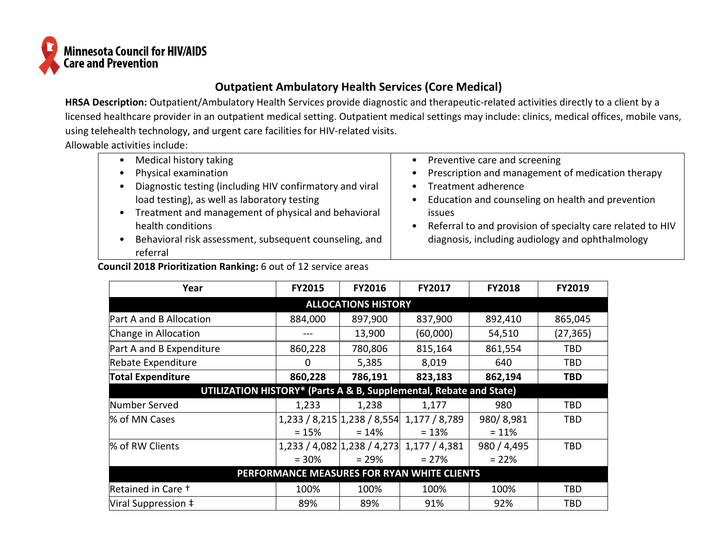

## **Outpatient Ambulatory Health Services (Core Medical)**

HRSA Description: Outpatient/Ambulatory Health Services provide diagnostic and therapeutic-related activities directly to a client by a licensed healthcare provider in an outpatient medical setting. Outpatient medical settings may include: clinics, medical offices, mobile vans, using telehealth technology, and urgent care facilities for HIV-related visits.

Allowable activities include:

| Medical history taking                                   | Preventive care and screening                              |
|----------------------------------------------------------|------------------------------------------------------------|
| Physical examination                                     | Prescription and management of medication therapy          |
| Diagnostic testing (including HIV confirmatory and viral | Treatment adherence                                        |
| load testing), as well as laboratory testing             | Education and counseling on health and prevention          |
| Treatment and management of physical and behavioral      | issues                                                     |
| health conditions                                        | Referral to and provision of specialty care related to HIV |
| Behavioral risk assessment, subsequent counseling, and   | diagnosis, including audiology and ophthalmology           |
| referral                                                 |                                                            |

## **Council 2018 Prioritization Ranking:** 6 out of 12 service areas

| Year                                                               | <b>FY2015</b> | <b>FY2016</b> | <b>FY2017</b>                             | <b>FY2018</b> | <b>FY2019</b> |  |  |
|--------------------------------------------------------------------|---------------|---------------|-------------------------------------------|---------------|---------------|--|--|
| <b>ALLOCATIONS HISTORY</b>                                         |               |               |                                           |               |               |  |  |
| Part A and B Allocation                                            | 884,000       | 897,900       | 837,900                                   | 892,410       | 865,045       |  |  |
| Change in Allocation                                               |               | 13,900        | (60,000)                                  | 54,510        | (27, 365)     |  |  |
| Part A and B Expenditure                                           | 860,228       | 780,806       | 815,164                                   | 861,554       | TBD           |  |  |
| Rebate Expenditure                                                 | 0             | 5,385         | 8,019                                     | 640           | TBD           |  |  |
| <b>Total Expenditure</b>                                           | 860,228       | 786,191       | 823,183                                   | 862,194       | TBD           |  |  |
| UTILIZATION HISTORY* (Parts A & B, Supplemental, Rebate and State) |               |               |                                           |               |               |  |  |
| Number Served                                                      | 1,233         | 1,238         | 1,177                                     | 980           | TBD           |  |  |
| % of MN Cases                                                      |               |               | 1,233 / 8,215 1,238 / 8,554 1,177 / 8,789 | 980/8,981     | TBD           |  |  |
|                                                                    | $= 15%$       | $= 14\%$      | $= 13%$                                   | $= 11%$       |               |  |  |
| % of RW Clients                                                    |               |               | 1,233 / 4,082 1,238 / 4,273 1,177 / 4,381 | 980 / 4,495   | TBD           |  |  |
|                                                                    | $= 30%$       | $= 29%$       | $= 27%$                                   | $= 22%$       |               |  |  |
| PERFORMANCE MEASURES FOR RYAN WHITE CLIENTS                        |               |               |                                           |               |               |  |  |
| Retained in Care +                                                 | 100%          | 100%          | 100%                                      | 100%          | TBD           |  |  |
| Viral Suppression ‡                                                | 89%           | 89%           | 91%                                       | 92%           | <b>TBD</b>    |  |  |